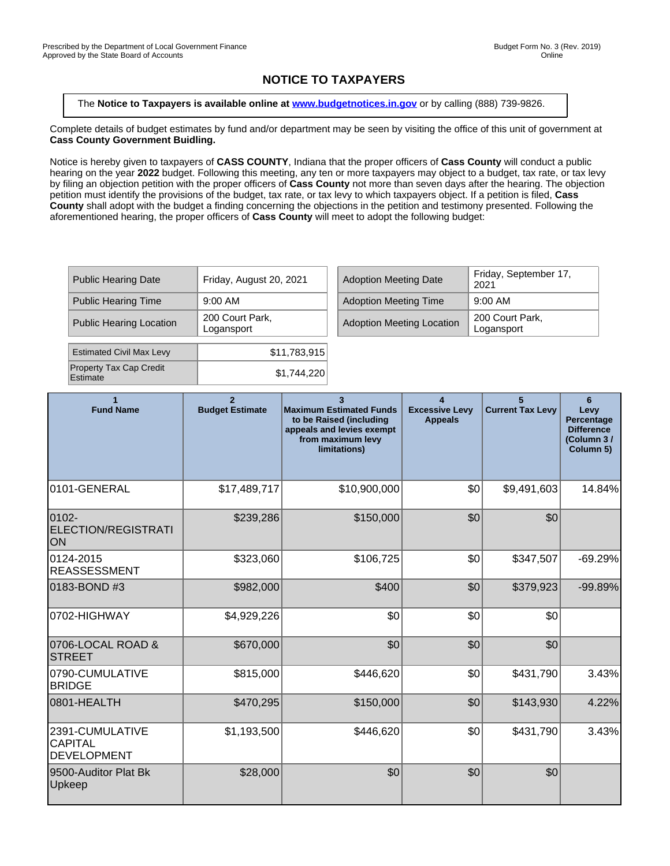## **NOTICE TO TAXPAYERS**

The **Notice to Taxpayers is available online at [www.budgetnotices.in.gov](http://budgetnotices.in.gov/)** or by calling (888) 739-9826.

Complete details of budget estimates by fund and/or department may be seen by visiting the office of this unit of government at **Cass County Government Buidling.**

Notice is hereby given to taxpayers of **CASS COUNTY**, Indiana that the proper officers of **Cass County** will conduct a public hearing on the year **2022** budget. Following this meeting, any ten or more taxpayers may object to a budget, tax rate, or tax levy by filing an objection petition with the proper officers of **Cass County** not more than seven days after the hearing. The objection petition must identify the provisions of the budget, tax rate, or tax levy to which taxpayers object. If a petition is filed, **Cass County** shall adopt with the budget a finding concerning the objections in the petition and testimony presented. Following the aforementioned hearing, the proper officers of **Cass County** will meet to adopt the following budget:

| <b>Public Hearing Date</b>                 | Friday, August 20, 2021       | <b>Adoption Meeting Date</b>     | Friday, September 17,<br>2021 |
|--------------------------------------------|-------------------------------|----------------------------------|-------------------------------|
| <b>Public Hearing Time</b>                 | $9:00$ AM                     | <b>Adoption Meeting Time</b>     | $9:00$ AM                     |
| <b>Public Hearing Location</b>             | 200 Court Park,<br>Logansport | <b>Adoption Meeting Location</b> | 200 Court Park,<br>Logansport |
|                                            |                               |                                  |                               |
| <b>Estimated Civil Max Levy</b>            | \$11,783,915                  |                                  |                               |
| <b>Property Tax Cap Credit</b><br>Estimate | \$1,744,220                   |                                  |                               |

| Friday, August 20, 2021       | <b>Adoption Meeting Date</b>     | Friday, September 17,<br>2021 |  |
|-------------------------------|----------------------------------|-------------------------------|--|
| 9:00 AM                       | <b>Adoption Meeting Time</b>     | $9:00$ AM                     |  |
| 200 Court Park,<br>Logansport | <b>Adoption Meeting Location</b> | 200 Court Park,<br>Logansport |  |

| <b>Fund Name</b>                                        | $\overline{2}$<br><b>Budget Estimate</b> | 3<br><b>Maximum Estimated Funds</b><br>to be Raised (including<br>appeals and levies exempt<br>from maximum levy<br>limitations) | $\overline{A}$<br><b>Excessive Levy</b><br><b>Appeals</b> | 5<br><b>Current Tax Levy</b> | 6<br>Levy<br>Percentage<br><b>Difference</b><br>(Column 3/<br>Column 5) |
|---------------------------------------------------------|------------------------------------------|----------------------------------------------------------------------------------------------------------------------------------|-----------------------------------------------------------|------------------------------|-------------------------------------------------------------------------|
| 0101-GENERAL                                            | \$17,489,717                             | \$10,900,000                                                                                                                     | \$0                                                       | \$9,491,603                  | 14.84%                                                                  |
| 0102-<br>ELECTION/REGISTRATI<br><b>ON</b>               | \$239,286                                | \$150,000                                                                                                                        | \$0                                                       | \$0                          |                                                                         |
| 0124-2015<br><b>REASSESSMENT</b>                        | \$323,060                                | \$106,725                                                                                                                        | \$0                                                       | \$347,507                    | $-69.29%$                                                               |
| 0183-BOND #3                                            | \$982,000                                | \$400                                                                                                                            | \$0                                                       | \$379,923                    | -99.89%                                                                 |
| 0702-HIGHWAY                                            | \$4,929,226                              | \$0                                                                                                                              | \$0                                                       | \$0                          |                                                                         |
| 0706-LOCAL ROAD &<br><b>STREET</b>                      | \$670,000                                | \$0                                                                                                                              | \$0                                                       | \$0                          |                                                                         |
| 0790-CUMULATIVE<br><b>BRIDGE</b>                        | \$815,000                                | \$446,620                                                                                                                        | \$0                                                       | \$431,790                    | 3.43%                                                                   |
| 0801-HEALTH                                             | \$470,295                                | \$150,000                                                                                                                        | \$0                                                       | \$143,930                    | 4.22%                                                                   |
| 2391-CUMULATIVE<br><b>CAPITAL</b><br><b>DEVELOPMENT</b> | \$1,193,500                              | \$446,620                                                                                                                        | \$0                                                       | \$431,790                    | 3.43%                                                                   |
| 9500-Auditor Plat Bk<br>Upkeep                          | \$28,000                                 | \$0                                                                                                                              | \$0                                                       | \$0                          |                                                                         |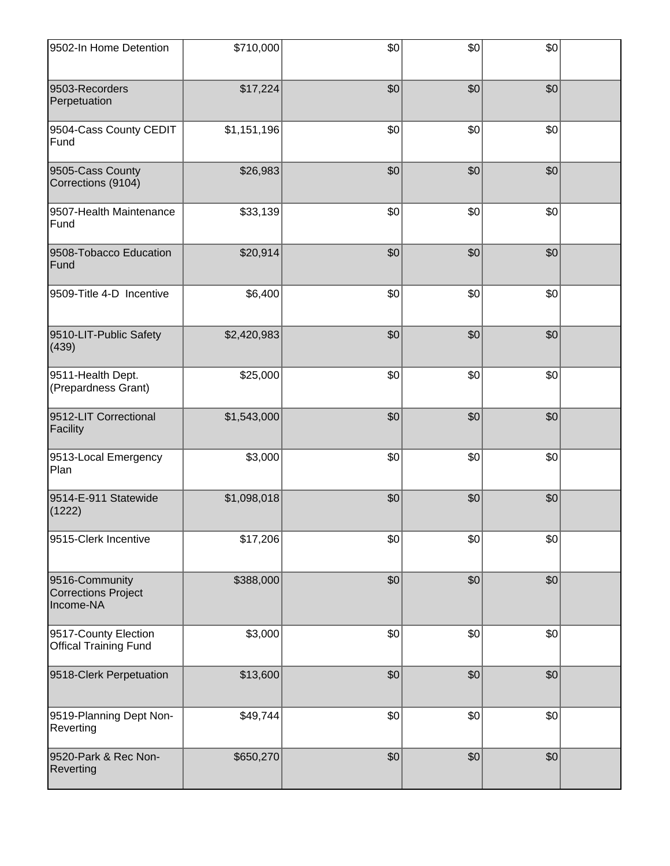| 9502-In Home Detention                                    | \$710,000   | \$0 | \$0 | \$0 |  |
|-----------------------------------------------------------|-------------|-----|-----|-----|--|
| 9503-Recorders<br>Perpetuation                            | \$17,224    | \$0 | \$0 | \$0 |  |
| 9504-Cass County CEDIT<br>Fund                            | \$1,151,196 | \$0 | \$0 | \$0 |  |
| 9505-Cass County<br>Corrections (9104)                    | \$26,983    | \$0 | \$0 | \$0 |  |
| 9507-Health Maintenance<br>Fund                           | \$33,139    | \$0 | \$0 | \$0 |  |
| 9508-Tobacco Education<br>Fund                            | \$20,914    | \$0 | \$0 | \$0 |  |
| 9509-Title 4-D Incentive                                  | \$6,400     | \$0 | \$0 | \$0 |  |
| 9510-LIT-Public Safety<br>(439)                           | \$2,420,983 | \$0 | \$0 | \$0 |  |
| 9511-Health Dept.<br>(Prepardness Grant)                  | \$25,000    | \$0 | \$0 | \$0 |  |
| 9512-LIT Correctional<br>Facility                         | \$1,543,000 | \$0 | \$0 | \$0 |  |
| 9513-Local Emergency<br>Plan                              | \$3,000     | \$0 | \$0 | \$0 |  |
| 9514-E-911 Statewide<br>(1222)                            | \$1,098,018 | \$0 | \$0 | \$0 |  |
| 9515-Clerk Incentive                                      | \$17,206    | \$0 | \$0 | \$0 |  |
| 9516-Community<br><b>Corrections Project</b><br>Income-NA | \$388,000   | \$0 | \$0 | \$0 |  |
| 9517-County Election<br><b>Offical Training Fund</b>      | \$3,000     | \$0 | \$0 | \$0 |  |
| 9518-Clerk Perpetuation                                   | \$13,600    | \$0 | \$0 | \$0 |  |
| 9519-Planning Dept Non-<br>Reverting                      | \$49,744    | \$0 | \$0 | \$0 |  |
| 9520-Park & Rec Non-<br>Reverting                         | \$650,270   | \$0 | \$0 | \$0 |  |